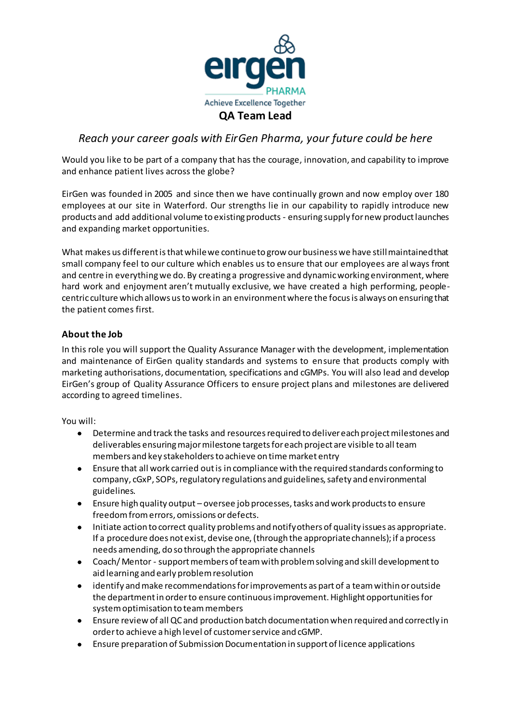

# *Reach your career goals with EirGen Pharma, your future could be here*

Would you like to be part of a company that has the courage, innovation, and capability to improve and enhance patient lives across the globe?

EirGen was founded in 2005 and since then we have continually grown and now employ over 180 employees at our site in Waterford. Our strengths lie in our capability to rapidly introduce new products and add additional volume to existing products - ensuring supply for new product launches and expanding market opportunities.

What makes us different is that while we continue to grow our business we have still maintained that small company feel to our culture which enables us to ensure that our employees are always front and centre in everything we do. By creating a progressive and dynamic working environment, where hard work and enjoyment aren't mutually exclusive, we have created a high performing, peoplecentric culture which allows us to work in an environment where the focus is always on ensuring that the patient comes first.

## **About the Job**

In this role you will support the Quality Assurance Manager with the development, implementation and maintenance of EirGen quality standards and systems to ensure that products comply with marketing authorisations, documentation, specifications and cGMPs. You will also lead and develop EirGen's group of Quality Assurance Officers to ensure project plans and milestones are delivered according to agreed timelines.

#### You will:

- Determine and track the tasks and resources required to deliver each project milestones and deliverables ensuring major milestone targets for each project are visible to all team members and key stakeholders to achieve on time market entry
- Ensure that all work carried out is in compliance with the required standards conforming to company, cGxP, SOPs, regulatory regulations and guidelines, safety and environmental guidelines.
- Ensure high quality output oversee job processes, tasks and work products to ensure freedom from errors, omissions or defects.
- Initiate action to correct quality problems and notify others of quality issues as appropriate. If a procedure does not exist, devise one, (through the appropriate channels); if a process needs amending, do so through the appropriate channels
- Coach/ Mentor support members of team with problem solving and skill development to aid learning and early problem resolution
- identify and make recommendations for improvements as part of a team within or outside the department in order to ensure continuous improvement. Highlight opportunities for system optimisation to team members
- Ensure review of all QC and production batch documentation when required and correctly in order to achieve a high level of customer service and cGMP.
- Ensure preparation of Submission Documentation in support of licence applications